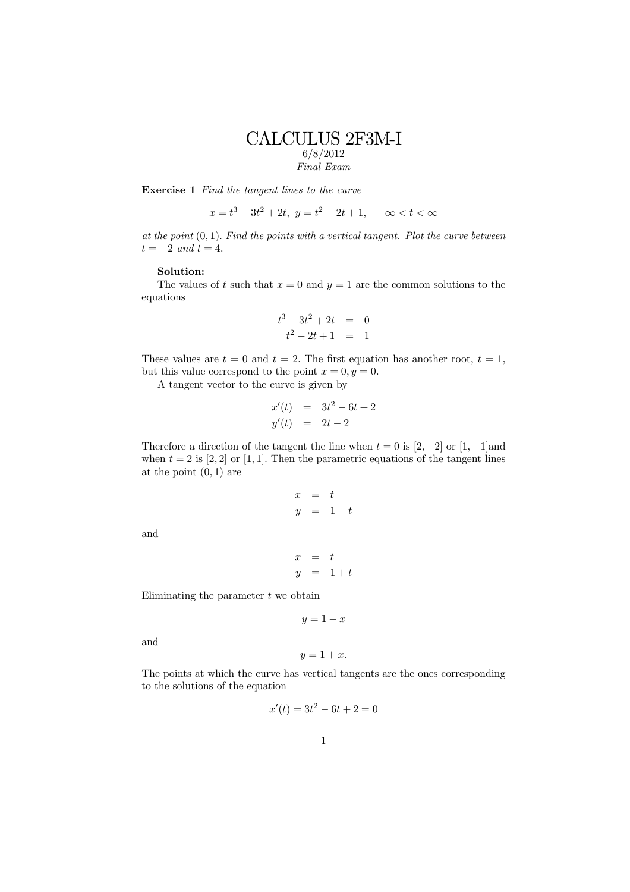## CALCULUS 2F3M-I 6/8/2012 Final Exam

Exercise 1 Find the tangent lines to the curve

 $x = t^3 - 3t^2 + 2t$ ,  $y = t^2 - 2t + 1$ ,  $-\infty < t < \infty$ 

at the point  $(0, 1)$ . Find the points with a vertical tangent. Plot the curve between  $t = -2$  and  $t = 4$ .

## Solution:

The values of t such that  $x = 0$  and  $y = 1$  are the common solutions to the equations

$$
t^3 - 3t^2 + 2t = 0
$$
  

$$
t^2 - 2t + 1 = 1
$$

These values are  $t = 0$  and  $t = 2$ . The first equation has another root,  $t = 1$ , but this value correspond to the point  $x = 0, y = 0$ .

A tangent vector to the curve is given by

$$
x'(t) = 3t^2 - 6t + 2
$$
  

$$
y'(t) = 2t - 2
$$

Therefore a direction of the tangent the line when  $t = 0$  is  $[2, -2]$  or  $[1, -1]$ and when  $t = 2$  is [2, 2] or [1, 1]. Then the parametric equations of the tangent lines at the point  $(0, 1)$  are

$$
\begin{array}{rcl}\nx & = & t \\
y & = & 1 - t\n\end{array}
$$

and

$$
\begin{array}{rcl} x & = & t \\ y & = & 1+t \end{array}
$$

Eliminating the parameter  $t$  we obtain

$$
y = 1 - x
$$

and

$$
y = 1 + x.
$$

The points at which the curve has vertical tangents are the ones corresponding to the solutions of the equation

$$
x'(t) = 3t^2 - 6t + 2 = 0
$$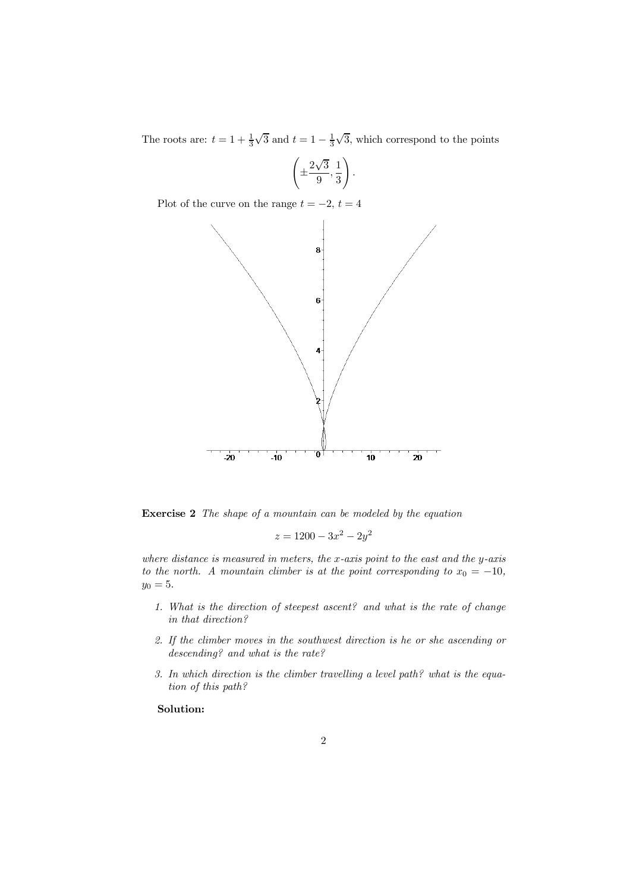The roots are:  $t = 1 + \frac{1}{3}\sqrt{3}$  and  $t = 1 - \frac{1}{3}\sqrt{3}$ , which correspond to the points

$$
\left(\pm \frac{2\sqrt{3}}{9}, \frac{1}{3}\right).
$$

Plot of the curve on the range  $t = -2$ ,  $t = 4$ 



Exercise 2 The shape of a mountain can be modeled by the equation

$$
z = 1200 - 3x^2 - 2y^2
$$

where distance is measured in meters, the  $x$ -axis point to the east and the  $y$ -axis to the north. A mountain climber is at the point corresponding to  $x_0 = -10$ ,  $y_0 = 5.$ 

- 1. What is the direction of steepest ascent? and what is the rate of change in that direction?
- 2. If the climber moves in the southwest direction is he or she ascending or descending? and what is the rate?
- 3. In which direction is the climber travelling a level path? what is the equation of this path?

## Solution: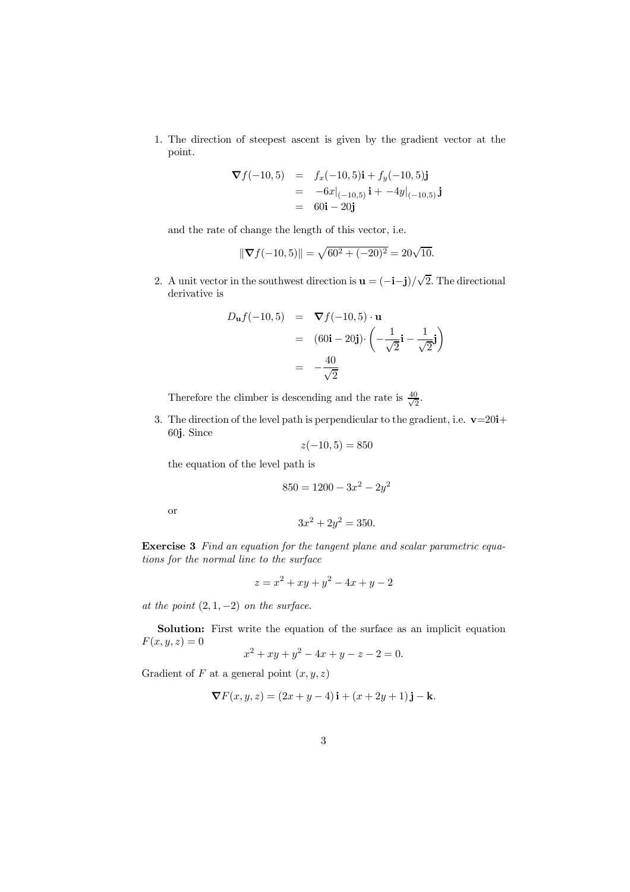1. The direction of steepest ascent is given by the gradient vector at the point.

$$
\nabla f(-10,5) = f_x(-10,5)\mathbf{i} + f_y(-10,5)\mathbf{j}
$$
  
=  $-6x|_{(-10,5)}\mathbf{i} + -4y|_{(-10,5)}\mathbf{j}$   
=  $60\mathbf{i} - 20\mathbf{j}$ 

and the rate of change the length of this vector, i.e.

$$
\|\nabla f(-10,5)\| = \sqrt{60^2 + (-20)^2} = 20\sqrt{10}.
$$

2. A unit vector in the southwest direction is  $\mathbf{u} = (-\mathbf{i} - \mathbf{j})/\sqrt{2}$ . The directional derivative is

$$
D_{\mathbf{u}}f(-10,5) = \nabla f(-10,5) \cdot \mathbf{u}
$$
  
\n
$$
= (60\mathbf{i} - 20\mathbf{j}) \cdot \left(-\frac{1}{\sqrt{2}}\mathbf{i} - \frac{1}{\sqrt{2}}\mathbf{j}\right)
$$
  
\n
$$
= -\frac{40}{\sqrt{2}}
$$

Therefore the climber is descending and the rate is  $\frac{40}{\sqrt{2}}$ .

3. The direction of the level path is perpendicular to the gradient, i.e.  $\mathbf{v}=20\mathbf{i}+\mathbf{v}$ 60j. Since

$$
z(-10,5) = 850
$$

the equation of the level path is

$$
850 = 1200 - 3x^2 - 2y^2
$$

or

$$
3x^2 + 2y^2 = 350.
$$

Exercise 3 Find an equation for the tangent plane and scalar parametric equations for the normal line to the surface

$$
z = x^2 + xy + y^2 - 4x + y - 2
$$

at the point  $(2, 1, -2)$  on the surface.

Solution: First write the equation of the surface as an implicit equation  $F(x, y, z)=0$ 

$$
x^2 + xy + y^2 - 4x + y - z - 2 = 0.
$$

Gradient of  $F$  at a general point  $(x, y, z)$ 

$$
\nabla F(x, y, z) = (2x + y - 4)\mathbf{i} + (x + 2y + 1)\mathbf{j} - \mathbf{k}.
$$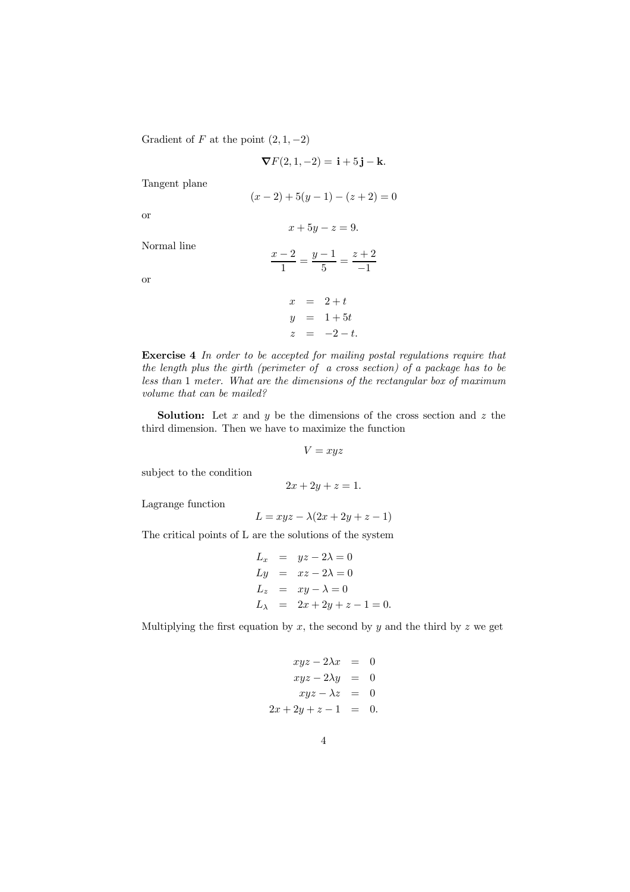Gradient of F at the point  $(2, 1, -2)$ 

$$
\nabla F(2, 1, -2) = \mathbf{i} + 5\mathbf{j} - \mathbf{k}.
$$
  

$$
(x - 2) + 5(y - 1) - (z + 2) = 0
$$
  

$$
x + 5y - z = 9.
$$
  

$$
\frac{x - 2}{1} = \frac{y - 1}{5} = \frac{z + 2}{-1}
$$

or

or

Tangent plane

Normal line

$$
x = 2+t
$$
  
\n
$$
y = 1+5t
$$
  
\n
$$
z = -2-t.
$$

Exercise 4 In order to be accepted for mailing postal regulations require that the length plus the girth (perimeter of a cross section) of a package has to be less than 1 meter. What are the dimensions of the rectangular box of maximum volume that can be mailed?

**Solution:** Let  $x$  and  $y$  be the dimensions of the cross section and  $z$  the third dimension. Then we have to maximize the function

$$
V=xyz
$$

subject to the condition

$$
2x + 2y + z = 1.
$$

Lagrange function

$$
L = xyz - \lambda(2x + 2y + z - 1)
$$

The critical points of L are the solutions of the system

$$
L_x = yz - 2\lambda = 0
$$
  
\n
$$
Ly = xz - 2\lambda = 0
$$
  
\n
$$
L_z = xy - \lambda = 0
$$
  
\n
$$
L_\lambda = 2x + 2y + z - 1 = 0.
$$

Multiplying the first equation by  $x$ , the second by  $y$  and the third by  $z$  we get

$$
xyz - 2\lambda x = 0
$$
  
\n
$$
xyz - 2\lambda y = 0
$$
  
\n
$$
xyz - \lambda z = 0
$$
  
\n
$$
2x + 2y + z - 1 = 0.
$$